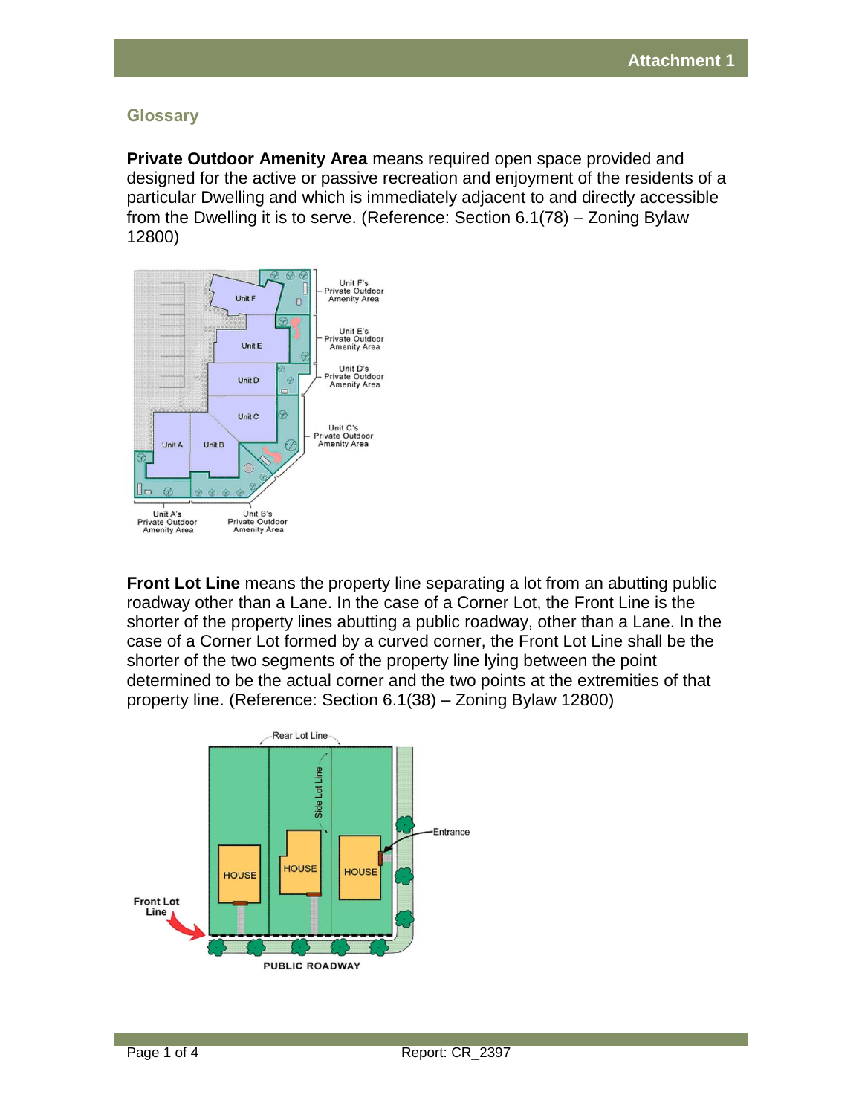## **Glossary**

**Private Outdoor Amenity Area** means required open space provided and designed for the active or passive recreation and enjoyment of the residents of a particular Dwelling and which is immediately adjacent to and directly accessible from the Dwelling it is to serve. (Reference: Section 6.1(78) – Zoning Bylaw 12800)



**Front Lot Line** means the property line separating a lot from an abutting public roadway other than a Lane. In the case of a Corner Lot, the Front Line is the shorter of the property lines abutting a public roadway, other than a Lane. In the case of a Corner Lot formed by a curved corner, the Front Lot Line shall be the shorter of the two segments of the property line lying between the point determined to be the actual corner and the two points at the extremities of that property line. (Reference: Section 6.1(38) – Zoning Bylaw 12800)

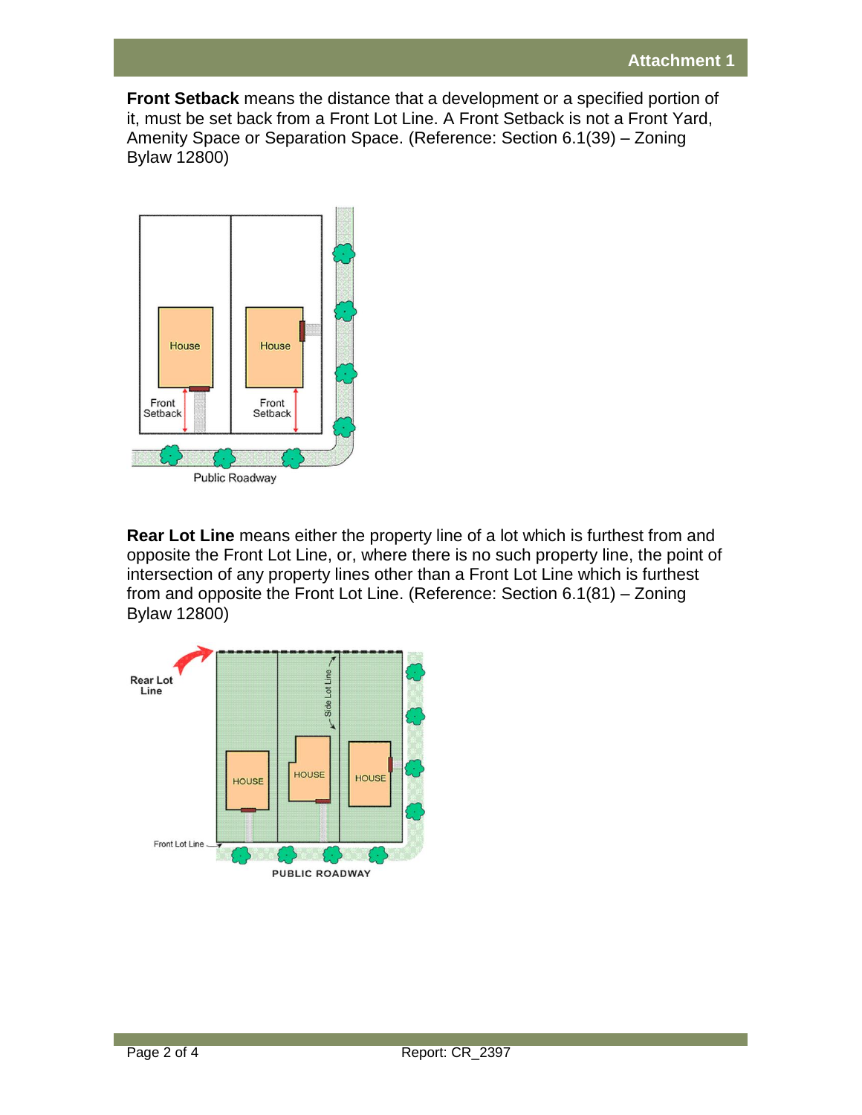**Front Setback** means the distance that a development or a specified portion of it, must be set back from a Front Lot Line. A Front Setback is not a Front Yard, Amenity Space or Separation Space. (Reference: Section 6.1(39) – Zoning Bylaw 12800)



**Rear Lot Line** means either the property line of a lot which is furthest from and opposite the Front Lot Line, or, where there is no such property line, the point of intersection of any property lines other than a Front Lot Line which is furthest from and opposite the Front Lot Line. (Reference: Section 6.1(81) – Zoning Bylaw 12800)

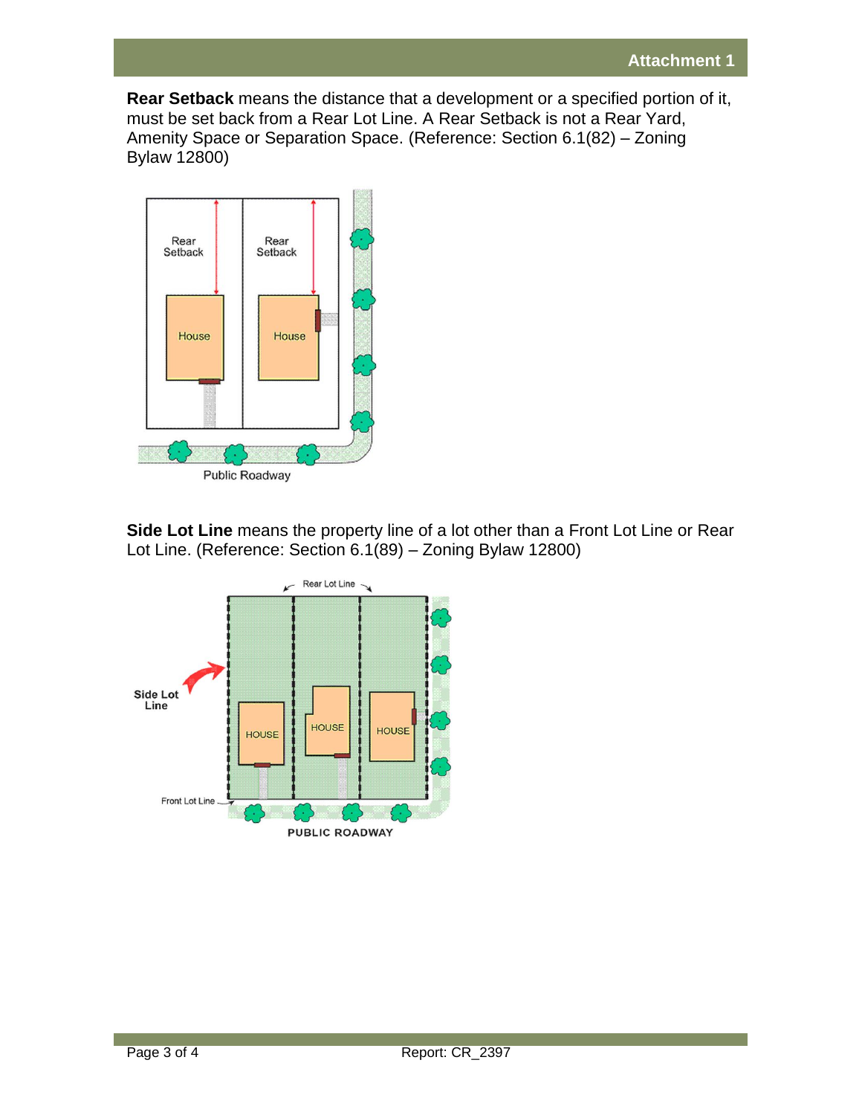**Rear Setback** means the distance that a development or a specified portion of it, must be set back from a Rear Lot Line. A Rear Setback is not a Rear Yard, Amenity Space or Separation Space. (Reference: Section 6.1(82) – Zoning Bylaw 12800)



**Side Lot Line** means the property line of a lot other than a Front Lot Line or Rear Lot Line. (Reference: Section 6.1(89) – Zoning Bylaw 12800)